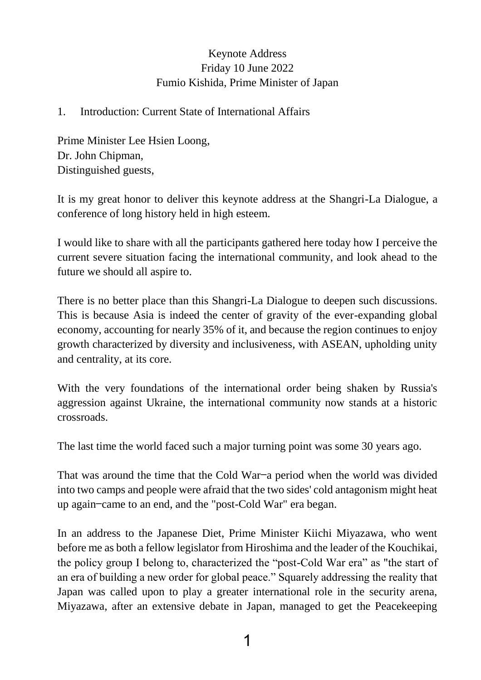## Keynote Address Friday 10 June 2022 Fumio Kishida, Prime Minister of Japan

## 1. Introduction: Current State of International Affairs

Prime Minister Lee Hsien Loong, Dr. John Chipman, Distinguished guests,

It is my great honor to deliver this keynote address at the Shangri-La Dialogue, a conference of long history held in high esteem.

I would like to share with all the participants gathered here today how I perceive the current severe situation facing the international community, and look ahead to the future we should all aspire to.

There is no better place than this Shangri-La Dialogue to deepen such discussions. This is because Asia is indeed the center of gravity of the ever-expanding global economy, accounting for nearly 35% of it, and because the region continues to enjoy growth characterized by diversity and inclusiveness, with ASEAN, upholding unity and centrality, at its core.

With the very foundations of the international order being shaken by Russia's aggression against Ukraine, the international community now stands at a historic crossroads.

The last time the world faced such a major turning point was some 30 years ago.

That was around the time that the Cold War—a period when the world was divided into two camps and people were afraid that the two sides' cold antagonism might heat up again—came to an end, and the "post-Cold War" era began.

In an address to the Japanese Diet, Prime Minister Kiichi Miyazawa, who went before me as both a fellow legislator from Hiroshima and the leader of the Kouchikai, the policy group I belong to, characterized the "post-Cold War era" as "the start of an era of building a new order for global peace." Squarely addressing the reality that Japan was called upon to play a greater international role in the security arena, Miyazawa, after an extensive debate in Japan, managed to get the Peacekeeping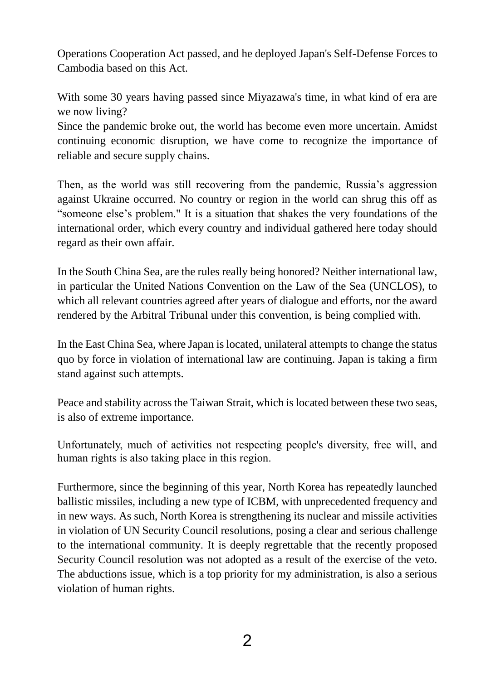Operations Cooperation Act passed, and he deployed Japan's Self-Defense Forces to Cambodia based on this Act.

With some 30 years having passed since Miyazawa's time, in what kind of era are we now living?

Since the pandemic broke out, the world has become even more uncertain. Amidst continuing economic disruption, we have come to recognize the importance of reliable and secure supply chains.

Then, as the world was still recovering from the pandemic, Russia's aggression against Ukraine occurred. No country or region in the world can shrug this off as "someone else's problem." It is a situation that shakes the very foundations of the international order, which every country and individual gathered here today should regard as their own affair.

In the South China Sea, are the rules really being honored? Neither international law, in particular the United Nations Convention on the Law of the Sea (UNCLOS), to which all relevant countries agreed after years of dialogue and efforts, nor the award rendered by the Arbitral Tribunal under this convention, is being complied with.

In the East China Sea, where Japan is located, unilateral attempts to change the status quo by force in violation of international law are continuing. Japan is taking a firm stand against such attempts.

Peace and stability across the Taiwan Strait, which is located between these two seas, is also of extreme importance.

Unfortunately, much of activities not respecting people's diversity, free will, and human rights is also taking place in this region.

Furthermore, since the beginning of this year, North Korea has repeatedly launched ballistic missiles, including a new type of ICBM, with unprecedented frequency and in new ways. As such, North Korea is strengthening its nuclear and missile activities in violation of UN Security Council resolutions, posing a clear and serious challenge to the international community. It is deeply regrettable that the recently proposed Security Council resolution was not adopted as a result of the exercise of the veto. The abductions issue, which is a top priority for my administration, is also a serious violation of human rights.

2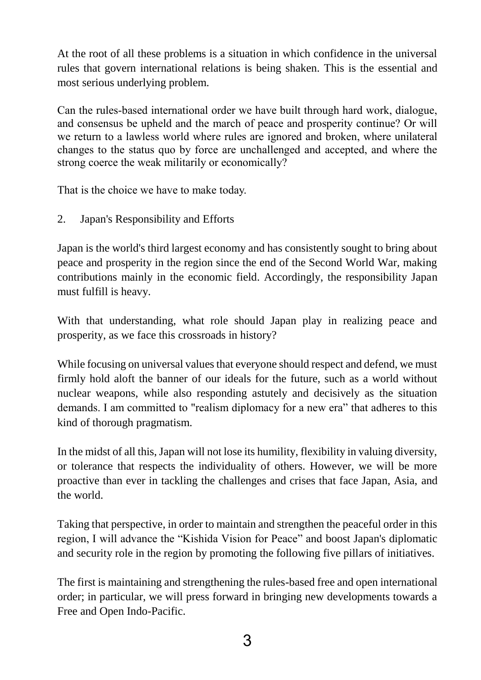At the root of all these problems is a situation in which confidence in the universal rules that govern international relations is being shaken. This is the essential and most serious underlying problem.

Can the rules-based international order we have built through hard work, dialogue, and consensus be upheld and the march of peace and prosperity continue? Or will we return to a lawless world where rules are ignored and broken, where unilateral changes to the status quo by force are unchallenged and accepted, and where the strong coerce the weak militarily or economically?

That is the choice we have to make today.

2. Japan's Responsibility and Efforts

Japan is the world's third largest economy and has consistently sought to bring about peace and prosperity in the region since the end of the Second World War, making contributions mainly in the economic field. Accordingly, the responsibility Japan must fulfill is heavy.

With that understanding, what role should Japan play in realizing peace and prosperity, as we face this crossroads in history?

While focusing on universal values that everyone should respect and defend, we must firmly hold aloft the banner of our ideals for the future, such as a world without nuclear weapons, while also responding astutely and decisively as the situation demands. I am committed to "realism diplomacy for a new era" that adheres to this kind of thorough pragmatism.

In the midst of all this, Japan will not lose its humility, flexibility in valuing diversity, or tolerance that respects the individuality of others. However, we will be more proactive than ever in tackling the challenges and crises that face Japan, Asia, and the world.

Taking that perspective, in order to maintain and strengthen the peaceful order in this region, I will advance the "Kishida Vision for Peace" and boost Japan's diplomatic and security role in the region by promoting the following five pillars of initiatives.

The first is maintaining and strengthening the rules-based free and open international order; in particular, we will press forward in bringing new developments towards a Free and Open Indo-Pacific.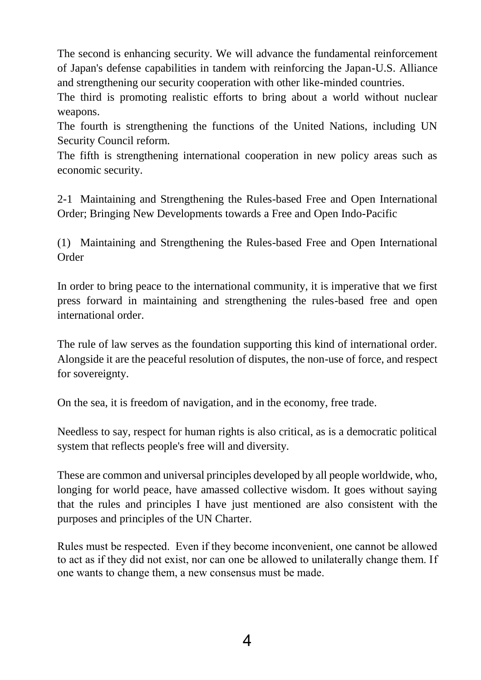The second is enhancing security. We will advance the fundamental reinforcement of Japan's defense capabilities in tandem with reinforcing the Japan-U.S. Alliance and strengthening our security cooperation with other like-minded countries.

The third is promoting realistic efforts to bring about a world without nuclear weapons.

The fourth is strengthening the functions of the United Nations, including UN Security Council reform.

The fifth is strengthening international cooperation in new policy areas such as economic security.

2-1 Maintaining and Strengthening the Rules-based Free and Open International Order; Bringing New Developments towards a Free and Open Indo-Pacific

(1) Maintaining and Strengthening the Rules-based Free and Open International Order

In order to bring peace to the international community, it is imperative that we first press forward in maintaining and strengthening the rules-based free and open international order.

The rule of law serves as the foundation supporting this kind of international order. Alongside it are the peaceful resolution of disputes, the non-use of force, and respect for sovereignty.

On the sea, it is freedom of navigation, and in the economy, free trade.

Needless to say, respect for human rights is also critical, as is a democratic political system that reflects people's free will and diversity.

These are common and universal principles developed by all people worldwide, who, longing for world peace, have amassed collective wisdom. It goes without saying that the rules and principles I have just mentioned are also consistent with the purposes and principles of the UN Charter.

Rules must be respected. Even if they become inconvenient, one cannot be allowed to act as if they did not exist, nor can one be allowed to unilaterally change them. If one wants to change them, a new consensus must be made.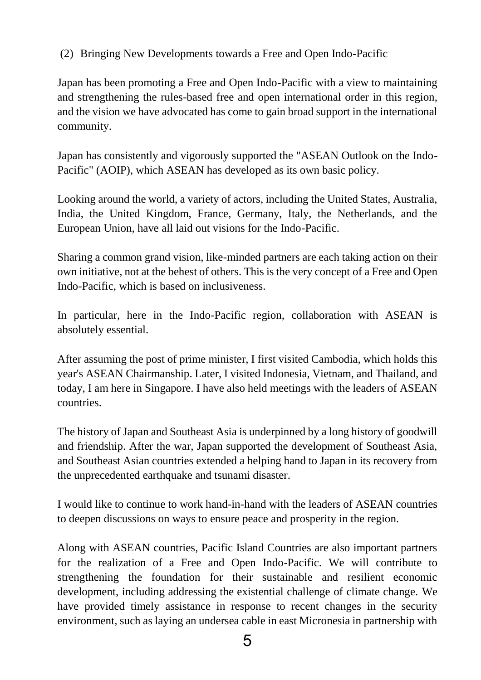(2) Bringing New Developments towards a Free and Open Indo-Pacific

Japan has been promoting a Free and Open Indo-Pacific with a view to maintaining and strengthening the rules-based free and open international order in this region, and the vision we have advocated has come to gain broad support in the international community.

Japan has consistently and vigorously supported the "ASEAN Outlook on the Indo-Pacific" (AOIP), which ASEAN has developed as its own basic policy.

Looking around the world, a variety of actors, including the United States, Australia, India, the United Kingdom, France, Germany, Italy, the Netherlands, and the European Union, have all laid out visions for the Indo-Pacific.

Sharing a common grand vision, like-minded partners are each taking action on their own initiative, not at the behest of others. This is the very concept of a Free and Open Indo-Pacific, which is based on inclusiveness.

In particular, here in the Indo-Pacific region, collaboration with ASEAN is absolutely essential.

After assuming the post of prime minister, I first visited Cambodia, which holds this year's ASEAN Chairmanship. Later, I visited Indonesia, Vietnam, and Thailand, and today, I am here in Singapore. I have also held meetings with the leaders of ASEAN countries.

The history of Japan and Southeast Asia is underpinned by a long history of goodwill and friendship. After the war, Japan supported the development of Southeast Asia, and Southeast Asian countries extended a helping hand to Japan in its recovery from the unprecedented earthquake and tsunami disaster.

I would like to continue to work hand-in-hand with the leaders of ASEAN countries to deepen discussions on ways to ensure peace and prosperity in the region.

Along with ASEAN countries, Pacific Island Countries are also important partners for the realization of a Free and Open Indo-Pacific. We will contribute to strengthening the foundation for their sustainable and resilient economic development, including addressing the existential challenge of climate change. We have provided timely assistance in response to recent changes in the security environment, such as laying an undersea cable in east Micronesia in partnership with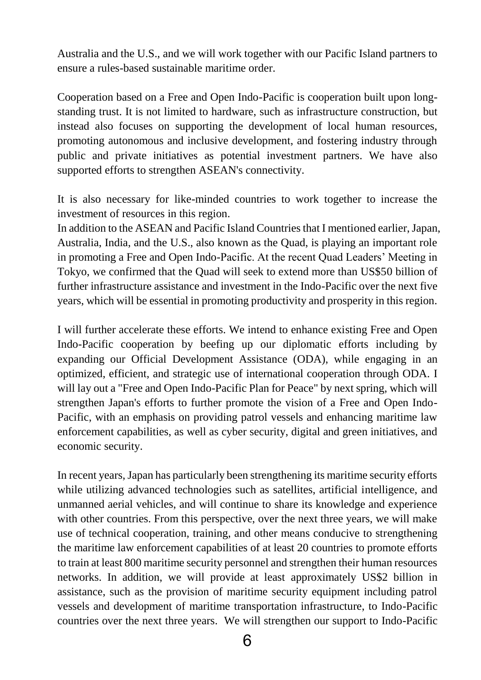Australia and the U.S., and we will work together with our Pacific Island partners to ensure a rules-based sustainable maritime order.

Cooperation based on a Free and Open Indo-Pacific is cooperation built upon longstanding trust. It is not limited to hardware, such as infrastructure construction, but instead also focuses on supporting the development of local human resources, promoting autonomous and inclusive development, and fostering industry through public and private initiatives as potential investment partners. We have also supported efforts to strengthen ASEAN's connectivity.

It is also necessary for like-minded countries to work together to increase the investment of resources in this region.

In addition to the ASEAN and Pacific Island Countries that I mentioned earlier, Japan, Australia, India, and the U.S., also known as the Quad, is playing an important role in promoting a Free and Open Indo-Pacific. At the recent Quad Leaders' Meeting in Tokyo, we confirmed that the Quad will seek to extend more than US\$50 billion of further infrastructure assistance and investment in the Indo-Pacific over the next five years, which will be essential in promoting productivity and prosperity in this region.

I will further accelerate these efforts. We intend to enhance existing Free and Open Indo-Pacific cooperation by beefing up our diplomatic efforts including by expanding our Official Development Assistance (ODA), while engaging in an optimized, efficient, and strategic use of international cooperation through ODA. I will lay out a "Free and Open Indo-Pacific Plan for Peace" by next spring, which will strengthen Japan's efforts to further promote the vision of a Free and Open Indo-Pacific, with an emphasis on providing patrol vessels and enhancing maritime law enforcement capabilities, as well as cyber security, digital and green initiatives, and economic security.

In recent years, Japan has particularly been strengthening its maritime security efforts while utilizing advanced technologies such as satellites, artificial intelligence, and unmanned aerial vehicles, and will continue to share its knowledge and experience with other countries. From this perspective, over the next three years, we will make use of technical cooperation, training, and other means conducive to strengthening the maritime law enforcement capabilities of at least 20 countries to promote efforts to train at least 800 maritime security personnel and strengthen their human resources networks. In addition, we will provide at least approximately US\$2 billion in assistance, such as the provision of maritime security equipment including patrol vessels and development of maritime transportation infrastructure, to Indo-Pacific countries over the next three years. We will strengthen our support to Indo-Pacific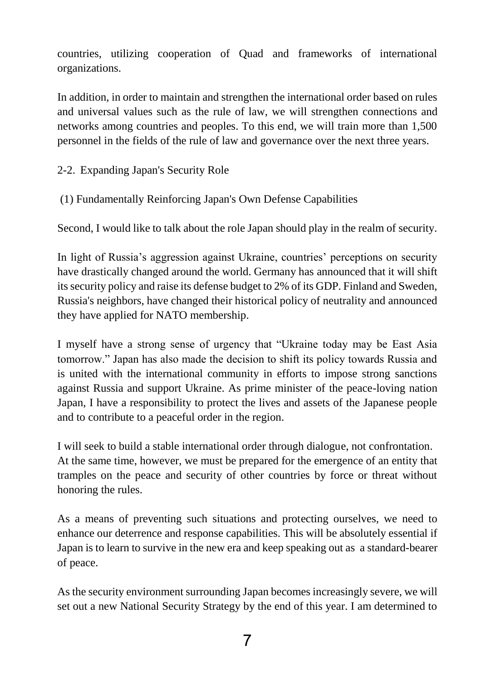countries, utilizing cooperation of Quad and frameworks of international organizations.

In addition, in order to maintain and strengthen the international order based on rules and universal values such as the rule of law, we will strengthen connections and networks among countries and peoples. To this end, we will train more than 1,500 personnel in the fields of the rule of law and governance over the next three years.

2-2. Expanding Japan's Security Role

(1) Fundamentally Reinforcing Japan's Own Defense Capabilities

Second, I would like to talk about the role Japan should play in the realm of security.

In light of Russia's aggression against Ukraine, countries' perceptions on security have drastically changed around the world. Germany has announced that it will shift its security policy and raise its defense budget to 2% of its GDP. Finland and Sweden, Russia's neighbors, have changed their historical policy of neutrality and announced they have applied for NATO membership.

I myself have a strong sense of urgency that "Ukraine today may be East Asia tomorrow." Japan has also made the decision to shift its policy towards Russia and is united with the international community in efforts to impose strong sanctions against Russia and support Ukraine. As prime minister of the peace-loving nation Japan, I have a responsibility to protect the lives and assets of the Japanese people and to contribute to a peaceful order in the region.

I will seek to build a stable international order through dialogue, not confrontation. At the same time, however, we must be prepared for the emergence of an entity that tramples on the peace and security of other countries by force or threat without honoring the rules.

As a means of preventing such situations and protecting ourselves, we need to enhance our deterrence and response capabilities. This will be absolutely essential if Japan is to learn to survive in the new era and keep speaking out as a standard-bearer of peace.

As the security environment surrounding Japan becomes increasingly severe, we will set out a new National Security Strategy by the end of this year. I am determined to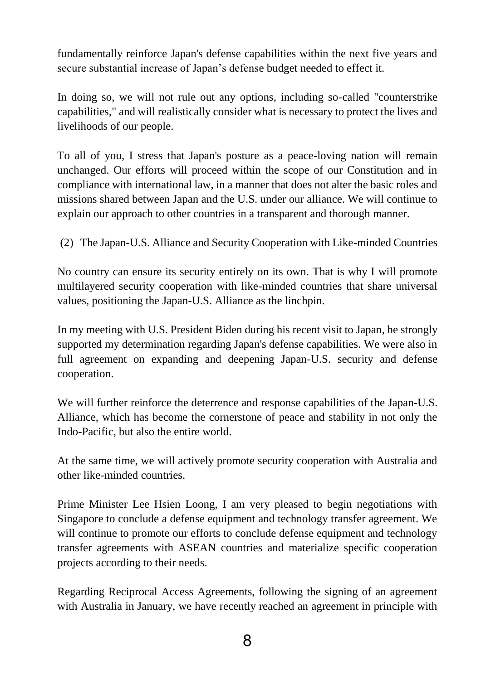fundamentally reinforce Japan's defense capabilities within the next five years and secure substantial increase of Japan's defense budget needed to effect it.

In doing so, we will not rule out any options, including so-called "counterstrike capabilities," and will realistically consider what is necessary to protect the lives and livelihoods of our people.

To all of you, I stress that Japan's posture as a peace-loving nation will remain unchanged. Our efforts will proceed within the scope of our Constitution and in compliance with international law, in a manner that does not alter the basic roles and missions shared between Japan and the U.S. under our alliance. We will continue to explain our approach to other countries in a transparent and thorough manner.

(2) The Japan-U.S. Alliance and Security Cooperation with Like-minded Countries

No country can ensure its security entirely on its own. That is why I will promote multilayered security cooperation with like-minded countries that share universal values, positioning the Japan-U.S. Alliance as the linchpin.

In my meeting with U.S. President Biden during his recent visit to Japan, he strongly supported my determination regarding Japan's defense capabilities. We were also in full agreement on expanding and deepening Japan-U.S. security and defense cooperation.

We will further reinforce the deterrence and response capabilities of the Japan-U.S. Alliance, which has become the cornerstone of peace and stability in not only the Indo-Pacific, but also the entire world.

At the same time, we will actively promote security cooperation with Australia and other like-minded countries.

Prime Minister Lee Hsien Loong, I am very pleased to begin negotiations with Singapore to conclude a defense equipment and technology transfer agreement. We will continue to promote our efforts to conclude defense equipment and technology transfer agreements with ASEAN countries and materialize specific cooperation projects according to their needs.

Regarding Reciprocal Access Agreements, following the signing of an agreement with Australia in January, we have recently reached an agreement in principle with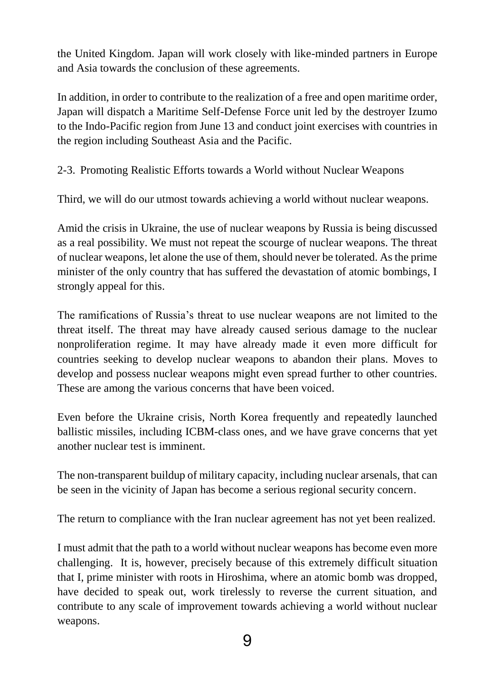the United Kingdom. Japan will work closely with like-minded partners in Europe and Asia towards the conclusion of these agreements.

In addition, in order to contribute to the realization of a free and open maritime order, Japan will dispatch a Maritime Self-Defense Force unit led by the destroyer Izumo to the Indo-Pacific region from June 13 and conduct joint exercises with countries in the region including Southeast Asia and the Pacific.

2-3. Promoting Realistic Efforts towards a World without Nuclear Weapons

Third, we will do our utmost towards achieving a world without nuclear weapons.

Amid the crisis in Ukraine, the use of nuclear weapons by Russia is being discussed as a real possibility. We must not repeat the scourge of nuclear weapons. The threat of nuclear weapons, let alone the use of them, should never be tolerated. As the prime minister of the only country that has suffered the devastation of atomic bombings, I strongly appeal for this.

The ramifications of Russia's threat to use nuclear weapons are not limited to the threat itself. The threat may have already caused serious damage to the nuclear nonproliferation regime. It may have already made it even more difficult for countries seeking to develop nuclear weapons to abandon their plans. Moves to develop and possess nuclear weapons might even spread further to other countries. These are among the various concerns that have been voiced.

Even before the Ukraine crisis, North Korea frequently and repeatedly launched ballistic missiles, including ICBM-class ones, and we have grave concerns that yet another nuclear test is imminent.

The non-transparent buildup of military capacity, including nuclear arsenals, that can be seen in the vicinity of Japan has become a serious regional security concern.

The return to compliance with the Iran nuclear agreement has not yet been realized.

I must admit that the path to a world without nuclear weapons has become even more challenging. It is, however, precisely because of this extremely difficult situation that I, prime minister with roots in Hiroshima, where an atomic bomb was dropped, have decided to speak out, work tirelessly to reverse the current situation, and contribute to any scale of improvement towards achieving a world without nuclear weapons.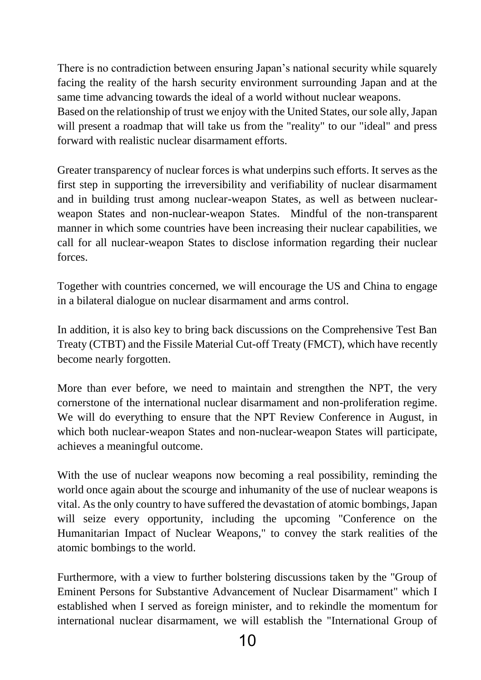There is no contradiction between ensuring Japan's national security while squarely facing the reality of the harsh security environment surrounding Japan and at the same time advancing towards the ideal of a world without nuclear weapons.

Based on the relationship of trust we enjoy with the United States, our sole ally, Japan will present a roadmap that will take us from the "reality" to our "ideal" and press forward with realistic nuclear disarmament efforts.

Greater transparency of nuclear forces is what underpins such efforts. It serves as the first step in supporting the irreversibility and verifiability of nuclear disarmament and in building trust among nuclear-weapon States, as well as between nuclearweapon States and non-nuclear-weapon States. Mindful of the non-transparent manner in which some countries have been increasing their nuclear capabilities, we call for all nuclear-weapon States to disclose information regarding their nuclear forces.

Together with countries concerned, we will encourage the US and China to engage in a bilateral dialogue on nuclear disarmament and arms control.

In addition, it is also key to bring back discussions on the Comprehensive Test Ban Treaty (CTBT) and the Fissile Material Cut-off Treaty (FMCT), which have recently become nearly forgotten.

More than ever before, we need to maintain and strengthen the NPT, the very cornerstone of the international nuclear disarmament and non-proliferation regime. We will do everything to ensure that the NPT Review Conference in August, in which both nuclear-weapon States and non-nuclear-weapon States will participate, achieves a meaningful outcome.

With the use of nuclear weapons now becoming a real possibility, reminding the world once again about the scourge and inhumanity of the use of nuclear weapons is vital. As the only country to have suffered the devastation of atomic bombings, Japan will seize every opportunity, including the upcoming "Conference on the Humanitarian Impact of Nuclear Weapons," to convey the stark realities of the atomic bombings to the world.

Furthermore, with a view to further bolstering discussions taken by the "Group of Eminent Persons for Substantive Advancement of Nuclear Disarmament" which I established when I served as foreign minister, and to rekindle the momentum for international nuclear disarmament, we will establish the "International Group of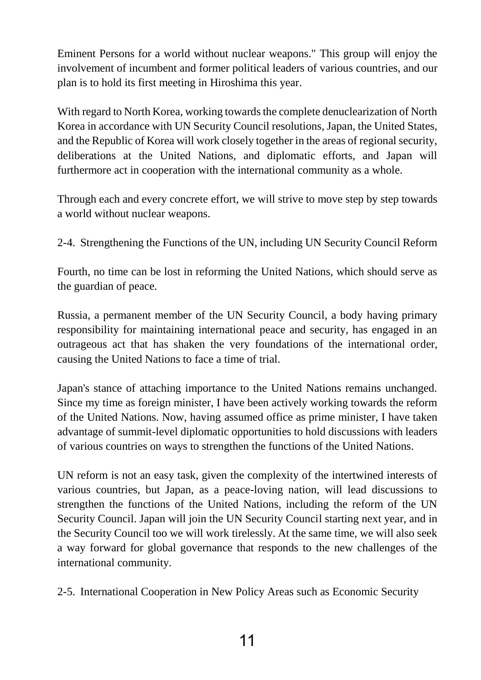Eminent Persons for a world without nuclear weapons." This group will enjoy the involvement of incumbent and former political leaders of various countries, and our plan is to hold its first meeting in Hiroshima this year.

With regard to North Korea, working towards the complete denuclearization of North Korea in accordance with UN Security Council resolutions, Japan, the United States, and the Republic of Korea will work closely together in the areas of regional security, deliberations at the United Nations, and diplomatic efforts, and Japan will furthermore act in cooperation with the international community as a whole.

Through each and every concrete effort, we will strive to move step by step towards a world without nuclear weapons.

2-4. Strengthening the Functions of the UN, including UN Security Council Reform

Fourth, no time can be lost in reforming the United Nations, which should serve as the guardian of peace.

Russia, a permanent member of the UN Security Council, a body having primary responsibility for maintaining international peace and security, has engaged in an outrageous act that has shaken the very foundations of the international order, causing the United Nations to face a time of trial.

Japan's stance of attaching importance to the United Nations remains unchanged. Since my time as foreign minister, I have been actively working towards the reform of the United Nations. Now, having assumed office as prime minister, I have taken advantage of summit-level diplomatic opportunities to hold discussions with leaders of various countries on ways to strengthen the functions of the United Nations.

UN reform is not an easy task, given the complexity of the intertwined interests of various countries, but Japan, as a peace-loving nation, will lead discussions to strengthen the functions of the United Nations, including the reform of the UN Security Council. Japan will join the UN Security Council starting next year, and in the Security Council too we will work tirelessly. At the same time, we will also seek a way forward for global governance that responds to the new challenges of the international community.

2-5. International Cooperation in New Policy Areas such as Economic Security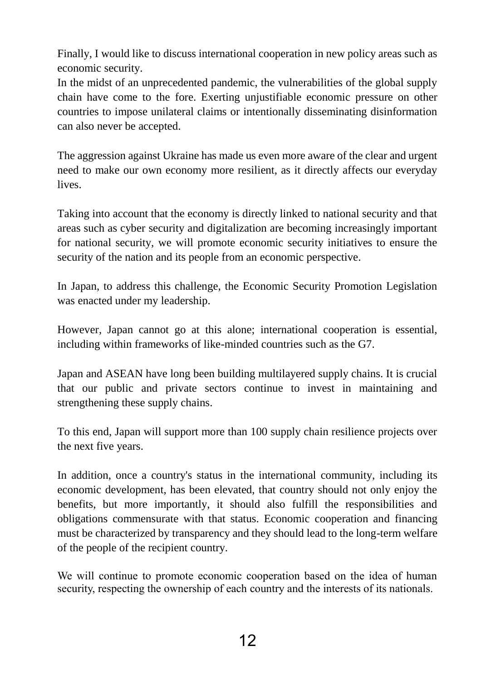Finally, I would like to discuss international cooperation in new policy areas such as economic security.

In the midst of an unprecedented pandemic, the vulnerabilities of the global supply chain have come to the fore. Exerting unjustifiable economic pressure on other countries to impose unilateral claims or intentionally disseminating disinformation can also never be accepted.

The aggression against Ukraine has made us even more aware of the clear and urgent need to make our own economy more resilient, as it directly affects our everyday lives.

Taking into account that the economy is directly linked to national security and that areas such as cyber security and digitalization are becoming increasingly important for national security, we will promote economic security initiatives to ensure the security of the nation and its people from an economic perspective.

In Japan, to address this challenge, the Economic Security Promotion Legislation was enacted under my leadership.

However, Japan cannot go at this alone; international cooperation is essential, including within frameworks of like-minded countries such as the G7.

Japan and ASEAN have long been building multilayered supply chains. It is crucial that our public and private sectors continue to invest in maintaining and strengthening these supply chains.

To this end, Japan will support more than 100 supply chain resilience projects over the next five years.

In addition, once a country's status in the international community, including its economic development, has been elevated, that country should not only enjoy the benefits, but more importantly, it should also fulfill the responsibilities and obligations commensurate with that status. Economic cooperation and financing must be characterized by transparency and they should lead to the long-term welfare of the people of the recipient country.

We will continue to promote economic cooperation based on the idea of human security, respecting the ownership of each country and the interests of its nationals.